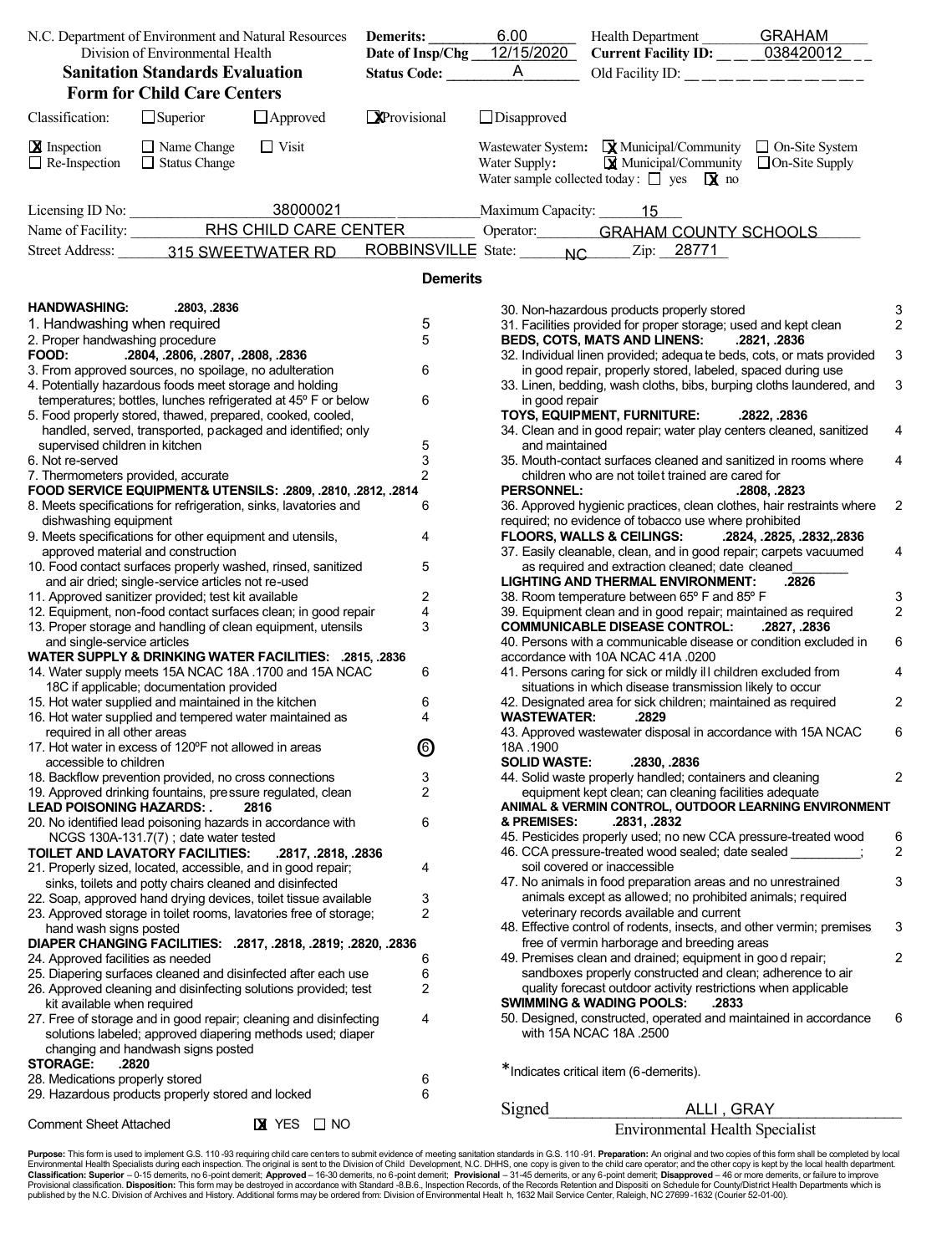| N.C. Department of Environment and Natural Resources<br>Division of Environmental Health |                                                                                                                                                                                            | Demerits:                   | 6.00                | Health Department GRAHAM<br>Current Facility ID: _____038420012 |                                                                                                                                                                                                                                        |              |                |
|------------------------------------------------------------------------------------------|--------------------------------------------------------------------------------------------------------------------------------------------------------------------------------------------|-----------------------------|---------------------|-----------------------------------------------------------------|----------------------------------------------------------------------------------------------------------------------------------------------------------------------------------------------------------------------------------------|--------------|----------------|
|                                                                                          |                                                                                                                                                                                            | Date of Insp/Chg 12/15/2020 |                     |                                                                 |                                                                                                                                                                                                                                        |              |                |
| <b>Sanitation Standards Evaluation</b>                                                   |                                                                                                                                                                                            |                             | <b>Status Code:</b> | $\mathsf{A}$                                                    |                                                                                                                                                                                                                                        |              |                |
|                                                                                          | <b>Form for Child Care Centers</b>                                                                                                                                                         |                             |                     |                                                                 |                                                                                                                                                                                                                                        |              |                |
| Classification:                                                                          | $\Box$ Superior                                                                                                                                                                            | $\Box$ Approved             | Provisional         | $\Box$ Disapproved                                              |                                                                                                                                                                                                                                        |              |                |
| <b>X</b> Inspection<br>$\Box$ Re-Inspection                                              | $\Box$ Name Change<br>$\Box$ Status Change                                                                                                                                                 | $\Box$ Visit                |                     | Water Supply:                                                   | Wastewater System: $\mathbf{\mathbf{\mathbf{\mathsf{Q}}}}$ Municipal/Community $\Box$ On-Site System<br>$\mathbf{\mathbf{\mathsf{Q}}}$ Municipal/Community $\Box$ On-Site Supply<br>Water sample collected today: $\Box$ yes $\Box$ no |              |                |
|                                                                                          | Licensing ID No: $\frac{1}{2}$                                                                                                                                                             | 38000021                    |                     | Maximum Capacity: 15                                            |                                                                                                                                                                                                                                        |              |                |
|                                                                                          |                                                                                                                                                                                            |                             |                     |                                                                 | Operator: <b>GRAHAM COUNTY SCHOOLS</b>                                                                                                                                                                                                 |              |                |
|                                                                                          | Street Address: 315 SWEETWATER RD                                                                                                                                                          |                             |                     |                                                                 | ROBBINSVILLE State: NC Zip: 28771                                                                                                                                                                                                      |              |                |
|                                                                                          |                                                                                                                                                                                            |                             | <b>Demerits</b>     |                                                                 |                                                                                                                                                                                                                                        |              |                |
| <b>HANDWASHING:</b><br>1. Handwashing when required<br>2. Proper handwashing procedure   | .2803, .2836                                                                                                                                                                               |                             | 5<br>5              |                                                                 | 30. Non-hazardous products properly stored<br>31. Facilities provided for proper storage; used and kept clean<br><b>BEDS, COTS, MATS AND LINENS:</b>                                                                                   | .2821, .2836 | 2              |
| FOOD:                                                                                    | .2804, .2806, .2807, .2808, .2836<br>3. From approved sources, no spoilage, no adulteration                                                                                                |                             | 6                   |                                                                 | 32. Individual linen provided; adequa te beds, cots, or mats provided<br>in good repair, properly stored, labeled, spaced during use                                                                                                   |              | 3              |
|                                                                                          | 4. Potentially hazardous foods meet storage and holding                                                                                                                                    |                             |                     |                                                                 | 33. Linen, bedding, wash cloths, bibs, burping cloths laundered, and                                                                                                                                                                   |              | 3              |
|                                                                                          | temperatures; bottles, lunches refrigerated at 45° F or below<br>5. Food properly stored, thawed, prepared, cooked, cooled,<br>handled, served, transported, packaged and identified; only |                             | 6                   | in good repair                                                  | TOYS, EQUIPMENT, FURNITURE:<br>34. Clean and in good repair; water play centers cleaned, sanitized                                                                                                                                     | .2822, .2836 |                |
| supervised children in kitchen                                                           |                                                                                                                                                                                            |                             | $\frac{5}{3}$       | and maintained                                                  |                                                                                                                                                                                                                                        |              |                |
| 6. Not re-served<br>7. Thermometers provided, accurate                                   |                                                                                                                                                                                            |                             | $\overline{2}$      |                                                                 | 35. Mouth-contact surfaces cleaned and sanitized in rooms where<br>children who are not toilet trained are cared for                                                                                                                   |              | 4              |
|                                                                                          | FOOD SERVICE EQUIPMENT& UTENSILS: .2809, .2810, .2812, .2814                                                                                                                               |                             |                     | <b>PERSONNEL:</b>                                               |                                                                                                                                                                                                                                        | .2808, .2823 |                |
| dishwashing equipment                                                                    | 8. Meets specifications for refrigeration, sinks, lavatories and                                                                                                                           |                             | 6                   |                                                                 | 36. Approved hygienic practices, clean clothes, hair restraints where<br>required; no evidence of tobacco use where prohibited                                                                                                         |              | $\overline{c}$ |
|                                                                                          | 9. Meets specifications for other equipment and utensils,                                                                                                                                  |                             | 4                   |                                                                 | FLOORS, WALLS & CEILINGS:  2824, .2825, .2832, .2836                                                                                                                                                                                   |              |                |
|                                                                                          | approved material and construction<br>10. Food contact surfaces properly washed, rinsed, sanitized                                                                                         |                             | 5                   |                                                                 | 37. Easily cleanable, clean, and in good repair; carpets vacuumed<br>as required and extraction cleaned; date cleaned                                                                                                                  |              | 4              |
|                                                                                          | and air dried; single-service articles not re-used                                                                                                                                         |                             |                     |                                                                 | LIGHTING AND THERMAL ENVIRONMENT:                                                                                                                                                                                                      | .2826        |                |
|                                                                                          | 11. Approved sanitizer provided; test kit available                                                                                                                                        |                             | 2                   |                                                                 | 38. Room temperature between 65° F and 85° F                                                                                                                                                                                           |              | 3              |
|                                                                                          | 12. Equipment, non-food contact surfaces clean; in good repair<br>13. Proper storage and handling of clean equipment, utensils                                                             |                             | 4<br>3              |                                                                 | 39. Equipment clean and in good repair; maintained as required<br><b>COMMUNICABLE DISEASE CONTROL:</b>                                                                                                                                 | .2827, .2836 | $\overline{c}$ |
| and single-service articles                                                              |                                                                                                                                                                                            |                             |                     |                                                                 | 40. Persons with a communicable disease or condition excluded in                                                                                                                                                                       |              | 6              |
|                                                                                          | WATER SUPPLY & DRINKING WATER FACILITIES: .2815, .2836                                                                                                                                     |                             |                     |                                                                 | accordance with 10A NCAC 41A .0200                                                                                                                                                                                                     |              |                |
|                                                                                          | 14. Water supply meets 15A NCAC 18A 1700 and 15A NCAC<br>18C if applicable; documentation provided                                                                                         |                             | 6                   |                                                                 | 41. Persons caring for sick or mildly ill children excluded from<br>situations in which disease transmission likely to occur                                                                                                           |              | 4              |
|                                                                                          | 15. Hot water supplied and maintained in the kitchen                                                                                                                                       |                             | 6                   |                                                                 | 42. Designated area for sick children; maintained as required                                                                                                                                                                          |              | 2              |
|                                                                                          | 16. Hot water supplied and tempered water maintained as                                                                                                                                    |                             | 4                   | <b>WASTEWATER:</b>                                              | .2829                                                                                                                                                                                                                                  |              |                |
| required in all other areas                                                              | 17. Hot water in excess of 120°F not allowed in areas                                                                                                                                      |                             | ◎                   | 18A .1900                                                       | 43. Approved wastewater disposal in accordance with 15A NCAC                                                                                                                                                                           |              | 6              |
| accessible to children                                                                   |                                                                                                                                                                                            |                             |                     | <b>SOLID WASTE:</b>                                             | .2830, .2836                                                                                                                                                                                                                           |              |                |
|                                                                                          | 18. Backflow prevention provided, no cross connections                                                                                                                                     |                             | 3<br>2              |                                                                 | 44. Solid waste properly handled; containers and cleaning<br>equipment kept clean; can cleaning facilities adequate                                                                                                                    |              | 2              |
| <b>LEAD POISONING HAZARDS: .</b>                                                         | 19. Approved drinking fountains, pressure regulated, clean                                                                                                                                 | 2816                        |                     |                                                                 | ANIMAL & VERMIN CONTROL, OUTDOOR LEARNING ENVIRONMENT                                                                                                                                                                                  |              |                |
|                                                                                          | 20. No identified lead poisoning hazards in accordance with                                                                                                                                |                             | 6                   | & PREMISES:                                                     | .2831, .2832                                                                                                                                                                                                                           |              |                |
|                                                                                          | NCGS 130A-131.7(7); date water tested<br>TOILET AND LAVATORY FACILITIES:                                                                                                                   | .2817, .2818, .2836         |                     |                                                                 | 45. Pesticides properly used; no new CCA pressure-treated wood<br>46. CCA pressure-treated wood sealed; date sealed                                                                                                                    |              | 6<br>2         |
|                                                                                          | 21. Properly sized, located, accessible, and in good repair;                                                                                                                               |                             | 4                   |                                                                 | soil covered or inaccessible                                                                                                                                                                                                           |              |                |
|                                                                                          | sinks, toilets and potty chairs cleaned and disinfected                                                                                                                                    |                             |                     |                                                                 | 47. No animals in food preparation areas and no unrestrained                                                                                                                                                                           |              | 3              |
|                                                                                          | 22. Soap, approved hand drying devices, toilet tissue available                                                                                                                            |                             | 3                   |                                                                 | animals except as allowed; no prohibited animals; required<br>veterinary records available and current                                                                                                                                 |              |                |
| hand wash signs posted                                                                   | 23. Approved storage in toilet rooms, lavatories free of storage;                                                                                                                          |                             | 2                   |                                                                 | 48. Effective control of rodents, insects, and other vermin; premises                                                                                                                                                                  |              | 3              |
|                                                                                          | DIAPER CHANGING FACILITIES: .2817, .2818, .2819; .2820, .2836                                                                                                                              |                             |                     |                                                                 | free of vermin harborage and breeding areas                                                                                                                                                                                            |              |                |
| 24. Approved facilities as needed                                                        |                                                                                                                                                                                            |                             | 6                   |                                                                 | 49. Premises clean and drained; equipment in good repair;                                                                                                                                                                              |              | 2              |
|                                                                                          | 25. Diapering surfaces cleaned and disinfected after each use<br>26. Approved cleaning and disinfecting solutions provided; test                                                           |                             | 6<br>2              |                                                                 | sandboxes properly constructed and clean; adherence to air<br>quality forecast outdoor activity restrictions when applicable                                                                                                           |              |                |
| kit available when required                                                              |                                                                                                                                                                                            |                             |                     |                                                                 | <b>SWIMMING &amp; WADING POOLS:</b><br>.2833                                                                                                                                                                                           |              |                |
|                                                                                          | 27. Free of storage and in good repair; cleaning and disinfecting<br>solutions labeled; approved diapering methods used; diaper                                                            |                             | 4                   |                                                                 | 50. Designed, constructed, operated and maintained in accordance<br>with 15A NCAC 18A .2500                                                                                                                                            |              | 6              |
|                                                                                          | changing and handwash signs posted                                                                                                                                                         |                             |                     |                                                                 |                                                                                                                                                                                                                                        |              |                |
| <b>STORAGE:</b><br>28. Medications properly stored                                       | .2820                                                                                                                                                                                      |                             | 6                   |                                                                 | *Indicates critical item (6-demerits).                                                                                                                                                                                                 |              |                |
|                                                                                          | 29. Hazardous products properly stored and locked                                                                                                                                          |                             | 6                   |                                                                 |                                                                                                                                                                                                                                        |              |                |
|                                                                                          |                                                                                                                                                                                            |                             |                     | Signed                                                          | ALLI, GRAY                                                                                                                                                                                                                             |              |                |
| <b>Comment Sheet Attached</b>                                                            |                                                                                                                                                                                            | $X$ YES $\Box$ NO           |                     |                                                                 | <b>Environmental Health Specialist</b>                                                                                                                                                                                                 |              |                |

**Purpose:** This form is used to implement G.S. 110-93 requiring child care centers to submit evidence of meeting sanitation standards in G.S. 110-91. **Preparation:** An original and two copies of this form shall be complete